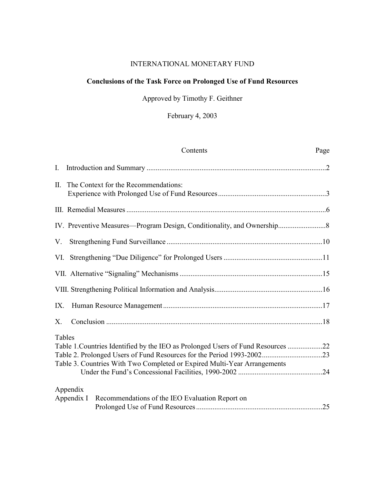## INTERNATIONAL MONETARY FUND

## **Conclusions of the Task Force on Prolonged Use of Fund Resources**

## Approved by Timothy F. Geithner

# February 4, 2003

|         | Contents                                                                                                                                                     | Page |
|---------|--------------------------------------------------------------------------------------------------------------------------------------------------------------|------|
| I.      |                                                                                                                                                              |      |
|         | II. The Context for the Recommendations:                                                                                                                     |      |
|         |                                                                                                                                                              |      |
|         |                                                                                                                                                              |      |
| V.      |                                                                                                                                                              |      |
|         |                                                                                                                                                              |      |
|         |                                                                                                                                                              |      |
|         |                                                                                                                                                              |      |
| IX.     |                                                                                                                                                              |      |
| $X_{-}$ |                                                                                                                                                              |      |
| Tables  | Table 1. Countries Identified by the IEO as Prolonged Users of Fund Resources 22<br>Table 3. Countries With Two Completed or Expired Multi-Year Arrangements |      |
|         | Appendix<br>Appendix I<br>Recommendations of the IEO Evaluation Report on                                                                                    |      |
|         |                                                                                                                                                              |      |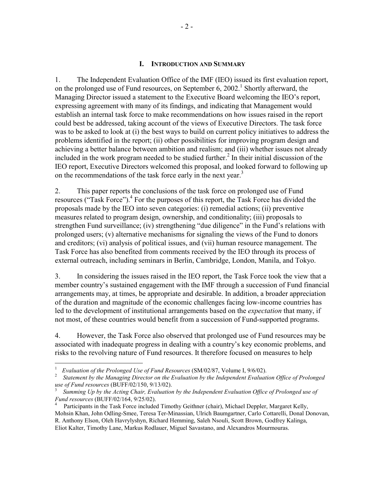#### **I. INTRODUCTION AND SUMMARY**

1. The Independent Evaluation Office of the IMF (IEO) issued its first evaluation report, on the prolonged use of Fund resources, on September 6,  $2002$ <sup>1</sup> Shortly afterward, the Managing Director issued a statement to the Executive Board welcoming the IEO's report, expressing agreement with many of its findings, and indicating that Management would establish an internal task force to make recommendations on how issues raised in the report could best be addressed, taking account of the views of Executive Directors. The task force was to be asked to look at (i) the best ways to build on current policy initiatives to address the problems identified in the report; (ii) other possibilities for improving program design and achieving a better balance between ambition and realism; and (iii) whether issues not already included in the work program needed to be studied further.<sup>2</sup> In their initial discussion of the IEO report, Executive Directors welcomed this proposal, and looked forward to following up on the recommendations of the task force early in the next year.<sup>3</sup>

2. This paper reports the conclusions of the task force on prolonged use of Fund resources ("Task Force").<sup>4</sup> For the purposes of this report, the Task Force has divided the proposals made by the IEO into seven categories: (i) remedial actions; (ii) preventive measures related to program design, ownership, and conditionality; (iii) proposals to strengthen Fund surveillance; (iv) strengthening "due diligence" in the Fund's relations with prolonged users; (v) alternative mechanisms for signaling the views of the Fund to donors and creditors; (vi) analysis of political issues, and (vii) human resource management. The Task Force has also benefited from comments received by the IEO through its process of external outreach, including seminars in Berlin, Cambridge, London, Manila, and Tokyo.

3. In considering the issues raised in the IEO report, the Task Force took the view that a member country's sustained engagement with the IMF through a succession of Fund financial arrangements may, at times, be appropriate and desirable. In addition, a broader appreciation of the duration and magnitude of the economic challenges facing low-income countries has led to the development of institutional arrangements based on the *expectation* that many, if not most, of these countries would benefit from a succession of Fund-supported programs.

4. However, the Task Force also observed that prolonged use of Fund resources may be associated with inadequate progress in dealing with a country's key economic problems, and risks to the revolving nature of Fund resources. It therefore focused on measures to help

1

<sup>1</sup>*Evaluation of the Prolonged Use of Fund Resources* (SM/02/87, Volume I, 9/6/02). 2

*Statement by the Managing Director on the Evaluation by the Independent Evaluation Office of Prolonged use of Fund resources* (BUFF/02/150, 9/13/02).

*Summing Up by the Acting Chair, Evaluation by the Independent Evaluation Office of Prolonged use of Fund resources* (BUFF/02/164, 9/25/02). 4

Participants in the Task Force included Timothy Geithner (chair), Michael Deppler, Margaret Kelly, Mohsin Khan, John Odling-Smee, Teresa Ter-Minassian, Ulrich Baumgartner, Carlo Cottarelli, Donal Donovan, R. Anthony Elson, Oleh Havrylyshyn, Richard Hemming, Saleh Nsouli, Scott Brown, Godfrey Kalinga, Eliot Kalter, Timothy Lane, Markus Rodlauer, Miguel Savastano, and Alexandros Mourmouras.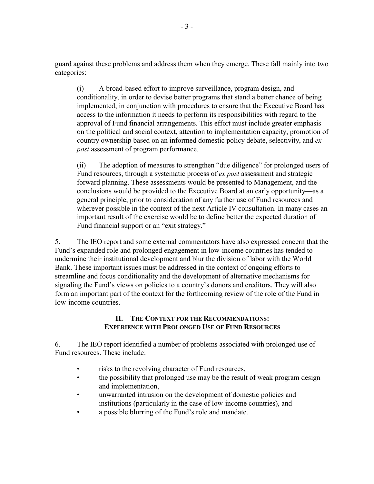guard against these problems and address them when they emerge. These fall mainly into two categories:

(i) A broad-based effort to improve surveillance, program design, and conditionality, in order to devise better programs that stand a better chance of being implemented, in conjunction with procedures to ensure that the Executive Board has access to the information it needs to perform its responsibilities with regard to the approval of Fund financial arrangements. This effort must include greater emphasis on the political and social context, attention to implementation capacity, promotion of country ownership based on an informed domestic policy debate, selectivity, and *ex post* assessment of program performance.

(ii) The adoption of measures to strengthen "due diligence" for prolonged users of Fund resources, through a systematic process of *ex post* assessment and strategic forward planning. These assessments would be presented to Management, and the conclusions would be provided to the Executive Board at an early opportunity—as a general principle, prior to consideration of any further use of Fund resources and wherever possible in the context of the next Article IV consultation. In many cases an important result of the exercise would be to define better the expected duration of Fund financial support or an "exit strategy."

5. The IEO report and some external commentators have also expressed concern that the Fund's expanded role and prolonged engagement in low-income countries has tended to undermine their institutional development and blur the division of labor with the World Bank. These important issues must be addressed in the context of ongoing efforts to streamline and focus conditionality and the development of alternative mechanisms for signaling the Fund's views on policies to a country's donors and creditors. They will also form an important part of the context for the forthcoming review of the role of the Fund in low-income countries.

### **II. THE CONTEXT FOR THE RECOMMENDATIONS: EXPERIENCE WITH PROLONGED USE OF FUND RESOURCES**

6. The IEO report identified a number of problems associated with prolonged use of Fund resources. These include:

- risks to the revolving character of Fund resources,
- the possibility that prolonged use may be the result of weak program design and implementation,
- unwarranted intrusion on the development of domestic policies and institutions (particularly in the case of low-income countries), and
- a possible blurring of the Fund's role and mandate.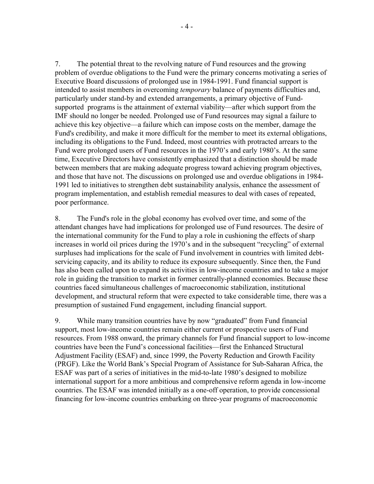7. The potential threat to the revolving nature of Fund resources and the growing problem of overdue obligations to the Fund were the primary concerns motivating a series of Executive Board discussions of prolonged use in 1984-1991. Fund financial support is intended to assist members in overcoming *temporary* balance of payments difficulties and, particularly under stand-by and extended arrangements, a primary objective of Fundsupported programs is the attainment of external viability—after which support from the IMF should no longer be needed. Prolonged use of Fund resources may signal a failure to achieve this key objective—a failure which can impose costs on the member, damage the Fund's credibility, and make it more difficult for the member to meet its external obligations, including its obligations to the Fund. Indeed, most countries with protracted arrears to the Fund were prolonged users of Fund resources in the 1970's and early 1980's. At the same time, Executive Directors have consistently emphasized that a distinction should be made between members that are making adequate progress toward achieving program objectives, and those that have not. The discussions on prolonged use and overdue obligations in 1984- 1991 led to initiatives to strengthen debt sustainability analysis, enhance the assessment of program implementation, and establish remedial measures to deal with cases of repeated, poor performance.

8. The Fund's role in the global economy has evolved over time, and some of the attendant changes have had implications for prolonged use of Fund resources. The desire of the international community for the Fund to play a role in cushioning the effects of sharp increases in world oil prices during the 1970's and in the subsequent "recycling" of external surpluses had implications for the scale of Fund involvement in countries with limited debtservicing capacity, and its ability to reduce its exposure subsequently. Since then, the Fund has also been called upon to expand its activities in low-income countries and to take a major role in guiding the transition to market in former centrally-planned economies. Because these countries faced simultaneous challenges of macroeconomic stabilization, institutional development, and structural reform that were expected to take considerable time, there was a presumption of sustained Fund engagement, including financial support.

9. While many transition countries have by now "graduated" from Fund financial support, most low-income countries remain either current or prospective users of Fund resources. From 1988 onward, the primary channels for Fund financial support to low-income countries have been the Fund's concessional facilities—first the Enhanced Structural Adjustment Facility (ESAF) and, since 1999, the Poverty Reduction and Growth Facility (PRGF). Like the World Bank's Special Program of Assistance for Sub-Saharan Africa, the ESAF was part of a series of initiatives in the mid-to-late 1980's designed to mobilize international support for a more ambitious and comprehensive reform agenda in low-income countries. The ESAF was intended initially as a one-off operation, to provide concessional financing for low-income countries embarking on three-year programs of macroeconomic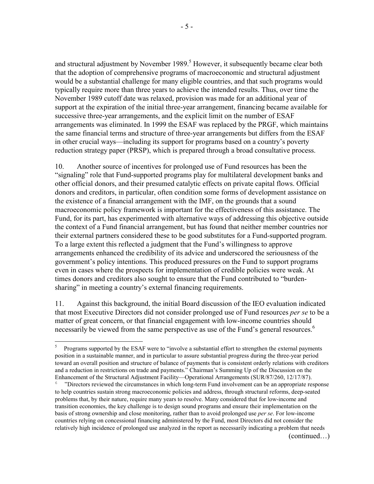and structural adjustment by November 1989.<sup>5</sup> However, it subsequently became clear both that the adoption of comprehensive programs of macroeconomic and structural adjustment would be a substantial challenge for many eligible countries, and that such programs would typically require more than three years to achieve the intended results. Thus, over time the November 1989 cutoff date was relaxed, provision was made for an additional year of support at the expiration of the initial three-year arrangement, financing became available for successive three-year arrangements, and the explicit limit on the number of ESAF arrangements was eliminated. In 1999 the ESAF was replaced by the PRGF, which maintains the same financial terms and structure of three-year arrangements but differs from the ESAF in other crucial ways—including its support for programs based on a country's poverty reduction strategy paper (PRSP), which is prepared through a broad consultative process.

10. Another source of incentives for prolonged use of Fund resources has been the "signaling" role that Fund-supported programs play for multilateral development banks and other official donors, and their presumed catalytic effects on private capital flows. Official donors and creditors, in particular, often condition some forms of development assistance on the existence of a financial arrangement with the IMF, on the grounds that a sound macroeconomic policy framework is important for the effectiveness of this assistance. The Fund, for its part, has experimented with alternative ways of addressing this objective outside the context of a Fund financial arrangement, but has found that neither member countries nor their external partners considered these to be good substitutes for a Fund-supported program. To a large extent this reflected a judgment that the Fund's willingness to approve arrangements enhanced the credibility of its advice and underscored the seriousness of the government's policy intentions. This produced pressures on the Fund to support programs even in cases where the prospects for implementation of credible policies were weak. At times donors and creditors also sought to ensure that the Fund contributed to "burdensharing" in meeting a country's external financing requirements.

11. Against this background, the initial Board discussion of the IEO evaluation indicated that most Executive Directors did not consider prolonged use of Fund resources *per se* to be a matter of great concern, or that financial engagement with low-income countries should necessarily be viewed from the same perspective as use of the Fund's general resources.<sup>6</sup>

 $\overline{a}$ 

<sup>5</sup> Programs supported by the ESAF were to "involve a substantial effort to strengthen the external payments position in a sustainable manner, and in particular to assure substantial progress during the three-year period toward an overall position and structure of balance of payments that is consistent orderly relations with creditors and a reduction in restrictions on trade and payments." Chairman's Summing Up of the Discussion on the Enhancement of the Structural Adjustment Facility—Operational Arrangements (SUR/87/260, 12/17/87).

<sup>6</sup> "Directors reviewed the circumstances in which long-term Fund involvement can be an appropriate response to help countries sustain strong macroeconomic policies and address, through structural reforms, deep-seated problems that, by their nature, require many years to resolve. Many considered that for low-income and transition economies, the key challenge is to design sound programs and ensure their implementation on the basis of strong ownership and close monitoring, rather than to avoid prolonged use *per se*. For low-income countries relying on concessional financing administered by the Fund, most Directors did not consider the relatively high incidence of prolonged use analyzed in the report as necessarily indicating a problem that needs (continued…)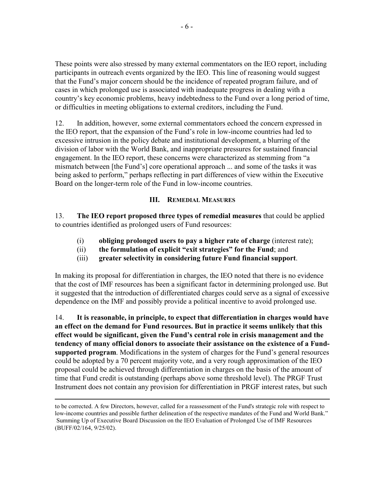These points were also stressed by many external commentators on the IEO report, including participants in outreach events organized by the IEO. This line of reasoning would suggest that the Fund's major concern should be the incidence of repeated program failure, and of cases in which prolonged use is associated with inadequate progress in dealing with a country's key economic problems, heavy indebtedness to the Fund over a long period of time, or difficulties in meeting obligations to external creditors, including the Fund.

12. In addition, however, some external commentators echoed the concern expressed in the IEO report, that the expansion of the Fund's role in low-income countries had led to excessive intrusion in the policy debate and institutional development, a blurring of the division of labor with the World Bank, and inappropriate pressures for sustained financial engagement. In the IEO report, these concerns were characterized as stemming from "a mismatch between [the Fund's] core operational approach ... and some of the tasks it was being asked to perform," perhaps reflecting in part differences of view within the Executive Board on the longer-term role of the Fund in low-income countries.

## **III. REMEDIAL MEASURES**

13. **The IEO report proposed three types of remedial measures** that could be applied to countries identified as prolonged users of Fund resources:

- (i) **obliging prolonged users to pay a higher rate of charge** (interest rate);
- (ii) **the formulation of explicit "exit strategies" for the Fund**; and
- (iii) **greater selectivity in considering future Fund financial support**.

In making its proposal for differentiation in charges, the IEO noted that there is no evidence that the cost of IMF resources has been a significant factor in determining prolonged use. But it suggested that the introduction of differentiated charges could serve as a signal of excessive dependence on the IMF and possibly provide a political incentive to avoid prolonged use.

14. **It is reasonable, in principle, to expect that differentiation in charges would have an effect on the demand for Fund resources. But in practice it seems unlikely that this effect would be significant, given the Fund's central role in crisis management and the tendency of many official donors to associate their assistance on the existence of a Fundsupported program**. Modifications in the system of charges for the Fund's general resources could be adopted by a 70 percent majority vote, and a very rough approximation of the IEO proposal could be achieved through differentiation in charges on the basis of the amount of time that Fund credit is outstanding (perhaps above some threshold level). The PRGF Trust Instrument does not contain any provision for differentiation in PRGF interest rates, but such

1

to be corrected. A few Directors, however, called for a reassessment of the Fund's strategic role with respect to low-income countries and possible further delineation of the respective mandates of the Fund and World Bank." Summing Up of Executive Board Discussion on the IEO Evaluation of Prolonged Use of IMF Resources (BUFF/02/164, 9/25/02).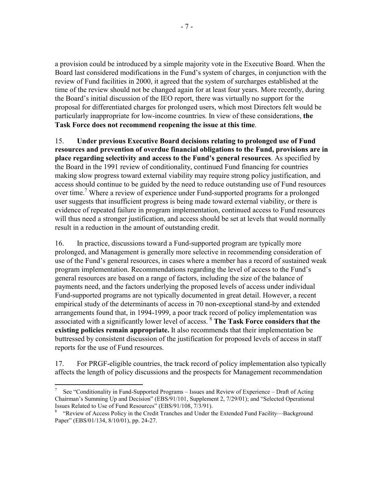a provision could be introduced by a simple majority vote in the Executive Board. When the Board last considered modifications in the Fund's system of charges, in conjunction with the review of Fund facilities in 2000, it agreed that the system of surcharges established at the time of the review should not be changed again for at least four years. More recently, during the Board's initial discussion of the IEO report, there was virtually no support for the proposal for differentiated charges for prolonged users, which most Directors felt would be particularly inappropriate for low-income countries. In view of these considerations, **the Task Force does not recommend reopening the issue at this time**.

15. **Under previous Executive Board decisions relating to prolonged use of Fund resources and prevention of overdue financial obligations to the Fund, provisions are in place regarding selectivity and access to the Fund's general resources**. As specified by the Board in the 1991 review of conditionality, continued Fund financing for countries making slow progress toward external viability may require strong policy justification, and access should continue to be guided by the need to reduce outstanding use of Fund resources over time.<sup>7</sup> Where a review of experience under Fund-supported programs for a prolonged user suggests that insufficient progress is being made toward external viability, or there is evidence of repeated failure in program implementation, continued access to Fund resources will thus need a stronger justification, and access should be set at levels that would normally result in a reduction in the amount of outstanding credit.

16. In practice, discussions toward a Fund-supported program are typically more prolonged, and Management is generally more selective in recommending consideration of use of the Fund's general resources, in cases where a member has a record of sustained weak program implementation. Recommendations regarding the level of access to the Fund's general resources are based on a range of factors, including the size of the balance of payments need, and the factors underlying the proposed levels of access under individual Fund-supported programs are not typically documented in great detail. However, a recent empirical study of the determinants of access in 70 non-exceptional stand-by and extended arrangements found that, in 1994-1999, a poor track record of policy implementation was associated with a significantly lower level of access. 8 **The Task Force considers that the existing policies remain appropriate.** It also recommends that their implementation be buttressed by consistent discussion of the justification for proposed levels of access in staff reports for the use of Fund resources.

17. For PRGF-eligible countries, the track record of policy implementation also typically affects the length of policy discussions and the prospects for Management recommendation

 $\overline{a}$ 

<sup>7</sup> See "Conditionality in Fund-Supported Programs – Issues and Review of Experience – Draft of Acting Chairman's Summing Up and Decision" (EBS/91/101, Supplement 2, 7/29/01); and "Selected Operational Issues Related to Use of Fund Resources" (EBS/91/108, 7/3/91).

<sup>8</sup> "Review of Access Policy in the Credit Tranches and Under the Extended Fund Facility—Background Paper" (EBS/01/134, 8/10/01), pp. 24-27.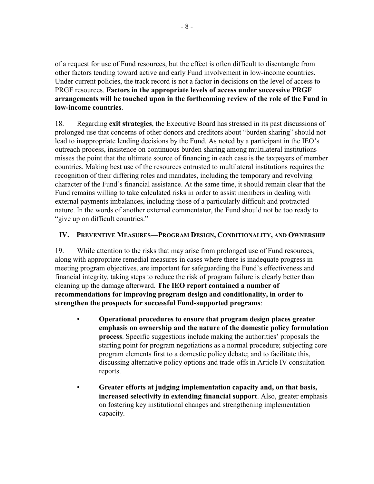of a request for use of Fund resources, but the effect is often difficult to disentangle from other factors tending toward active and early Fund involvement in low-income countries. Under current policies, the track record is not a factor in decisions on the level of access to PRGF resources. **Factors in the appropriate levels of access under successive PRGF arrangements will be touched upon in the forthcoming review of the role of the Fund in low-income countries**.

18. Regarding **exit strategies**, the Executive Board has stressed in its past discussions of prolonged use that concerns of other donors and creditors about "burden sharing" should not lead to inappropriate lending decisions by the Fund. As noted by a participant in the IEO's outreach process, insistence on continuous burden sharing among multilateral institutions misses the point that the ultimate source of financing in each case is the taxpayers of member countries. Making best use of the resources entrusted to multilateral institutions requires the recognition of their differing roles and mandates, including the temporary and revolving character of the Fund's financial assistance. At the same time, it should remain clear that the Fund remains willing to take calculated risks in order to assist members in dealing with external payments imbalances, including those of a particularly difficult and protracted nature. In the words of another external commentator, the Fund should not be too ready to "give up on difficult countries."

## **IV. PREVENTIVE MEASURES—PROGRAM DESIGN, CONDITIONALITY, AND OWNERSHIP**

19. While attention to the risks that may arise from prolonged use of Fund resources, along with appropriate remedial measures in cases where there is inadequate progress in meeting program objectives, are important for safeguarding the Fund's effectiveness and financial integrity, taking steps to reduce the risk of program failure is clearly better than cleaning up the damage afterward. **The IEO report contained a number of recommendations for improving program design and conditionality, in order to strengthen the prospects for successful Fund-supported programs**:

- **Operational procedures to ensure that program design places greater emphasis on ownership and the nature of the domestic policy formulation process**. Specific suggestions include making the authorities' proposals the starting point for program negotiations as a normal procedure; subjecting core program elements first to a domestic policy debate; and to facilitate this, discussing alternative policy options and trade-offs in Article IV consultation reports.
- **Greater efforts at judging implementation capacity and, on that basis, increased selectivity in extending financial support**. Also, greater emphasis on fostering key institutional changes and strengthening implementation capacity.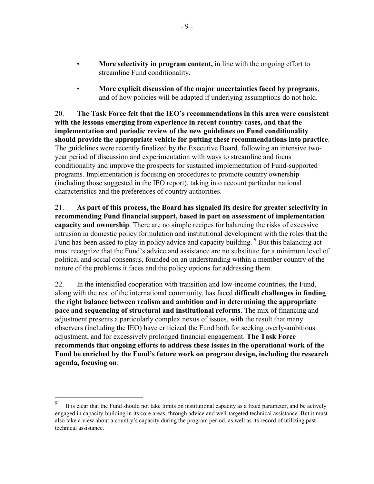- **More selectivity in program content,** in line with the ongoing effort to streamline Fund conditionality.
- **More explicit discussion of the major uncertainties faced by programs**, and of how policies will be adapted if underlying assumptions do not hold.

20. **The Task Force felt that the IEO's recommendations in this area were consistent with the lessons emerging from experience in recent country cases, and that the implementation and periodic review of the new guidelines on Fund conditionality should provide the appropriate vehicle for putting these recommendations into practice**. The guidelines were recently finalized by the Executive Board, following an intensive twoyear period of discussion and experimentation with ways to streamline and focus conditionality and improve the prospects for sustained implementation of Fund-supported programs. Implementation is focusing on procedures to promote country ownership (including those suggested in the IEO report), taking into account particular national characteristics and the preferences of country authorities.

21. **As part of this process, the Board has signaled its desire for greater selectivity in recommending Fund financial support, based in part on assessment of implementation capacity and ownership**. There are no simple recipes for balancing the risks of excessive intrusion in domestic policy formulation and institutional development with the roles that the Fund has been asked to play in policy advice and capacity building. <sup>9</sup> But this balancing act must recognize that the Fund's advice and assistance are no substitute for a minimum level of political and social consensus, founded on an understanding within a member country of the nature of the problems it faces and the policy options for addressing them.

22. In the intensified cooperation with transition and low-income countries, the Fund, along with the rest of the international community, has faced **difficult challenges in finding the right balance between realism and ambition and in determining the appropriate pace and sequencing of structural and institutional reforms**. The mix of financing and adjustment presents a particularly complex nexus of issues, with the result that many observers (including the IEO) have criticized the Fund both for seeking overly-ambitious adjustment, and for excessively prolonged financial engagement. **The Task Force recommends that ongoing efforts to address these issues in the operational work of the Fund be enriched by the Fund's future work on program design, including the research agenda, focusing on**:

<sup>-&</sup>lt;br>9 It is clear that the Fund should not take limits on institutional capacity as a fixed parameter, and be actively engaged in capacity-building in its core areas, through advice and well-targeted technical assistance. But it must also take a view about a country's capacity during the program period, as well as its record of utilizing past technical assistance.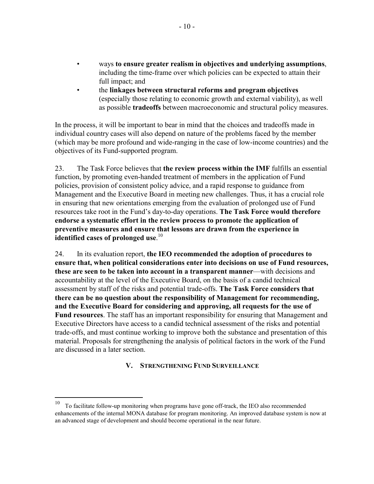- ways **to ensure greater realism in objectives and underlying assumptions**, including the time-frame over which policies can be expected to attain their full impact; and
- the **linkages between structural reforms and program objectives** (especially those relating to economic growth and external viability), as well as possible **tradeoffs** between macroeconomic and structural policy measures.

In the process, it will be important to bear in mind that the choices and tradeoffs made in individual country cases will also depend on nature of the problems faced by the member (which may be more profound and wide-ranging in the case of low-income countries) and the objectives of its Fund-supported program.

23. The Task Force believes that **the review process within the IMF** fulfills an essential function, by promoting even-handed treatment of members in the application of Fund policies, provision of consistent policy advice, and a rapid response to guidance from Management and the Executive Board in meeting new challenges. Thus, it has a crucial role in ensuring that new orientations emerging from the evaluation of prolonged use of Fund resources take root in the Fund's day-to-day operations. **The Task Force would therefore endorse a systematic effort in the review process to promote the application of preventive measures and ensure that lessons are drawn from the experience in identified cases of prolonged use**. 10

24. In its evaluation report, **the IEO recommended the adoption of procedures to ensure that, when political considerations enter into decisions on use of Fund resources, these are seen to be taken into account in a transparent manner**—with decisions and accountability at the level of the Executive Board, on the basis of a candid technical assessment by staff of the risks and potential trade-offs. **The Task Force considers that there can be no question about the responsibility of Management for recommending, and the Executive Board for considering and approving, all requests for the use of Fund resources**. The staff has an important responsibility for ensuring that Management and Executive Directors have access to a candid technical assessment of the risks and potential trade-offs, and must continue working to improve both the substance and presentation of this material. Proposals for strengthening the analysis of political factors in the work of the Fund are discussed in a later section.

### **V. STRENGTHENING FUND SURVEILLANCE**

 $\overline{a}$ 

<sup>10</sup> To facilitate follow-up monitoring when programs have gone off-track, the IEO also recommended enhancements of the internal MONA database for program monitoring. An improved database system is now at an advanced stage of development and should become operational in the near future.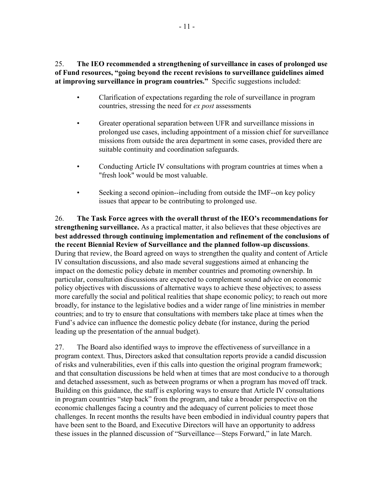25. **The IEO recommended a strengthening of surveillance in cases of prolonged use of Fund resources, "going beyond the recent revisions to surveillance guidelines aimed at improving surveillance in program countries."** Specific suggestions included:

- Clarification of expectations regarding the role of surveillance in program countries, stressing the need for *ex post* assessments
- Greater operational separation between UFR and surveillance missions in prolonged use cases, including appointment of a mission chief for surveillance missions from outside the area department in some cases, provided there are suitable continuity and coordination safeguards.
- Conducting Article IV consultations with program countries at times when a "fresh look" would be most valuable.
- Seeking a second opinion--including from outside the IMF--on key policy issues that appear to be contributing to prolonged use.

26. **The Task Force agrees with the overall thrust of the IEO's recommendations for strengthening surveillance.** As a practical matter, it also believes that these objectives are **best addressed through continuing implementation and refinement of the conclusions of the recent Biennial Review of Surveillance and the planned follow-up discussions**. During that review, the Board agreed on ways to strengthen the quality and content of Article IV consultation discussions, and also made several suggestions aimed at enhancing the impact on the domestic policy debate in member countries and promoting ownership. In particular, consultation discussions are expected to complement sound advice on economic policy objectives with discussions of alternative ways to achieve these objectives; to assess more carefully the social and political realities that shape economic policy; to reach out more broadly, for instance to the legislative bodies and a wider range of line ministries in member countries; and to try to ensure that consultations with members take place at times when the Fund's advice can influence the domestic policy debate (for instance, during the period leading up the presentation of the annual budget).

27. The Board also identified ways to improve the effectiveness of surveillance in a program context. Thus, Directors asked that consultation reports provide a candid discussion of risks and vulnerabilities, even if this calls into question the original program framework; and that consultation discussions be held when at times that are most conducive to a thorough and detached assessment, such as between programs or when a program has moved off track. Building on this guidance, the staff is exploring ways to ensure that Article IV consultations in program countries "step back" from the program, and take a broader perspective on the economic challenges facing a country and the adequacy of current policies to meet those challenges. In recent months the results have been embodied in individual country papers that have been sent to the Board, and Executive Directors will have an opportunity to address these issues in the planned discussion of "Surveillance—Steps Forward," in late March.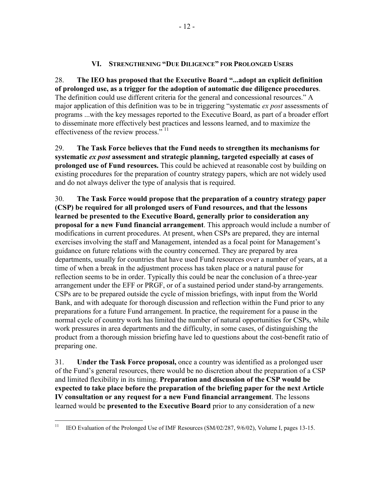### **VI. STRENGTHENING "DUE DILIGENCE" FOR PROLONGED USERS**

28. **The IEO has proposed that the Executive Board "...adopt an explicit definition of prolonged use, as a trigger for the adoption of automatic due diligence procedures**. The definition could use different criteria for the general and concessional resources." A major application of this definition was to be in triggering "systematic *ex post* assessments of programs ...with the key messages reported to the Executive Board, as part of a broader effort to disseminate more effectively best practices and lessons learned, and to maximize the effectiveness of the review process." <sup>11</sup>

29. **The Task Force believes that the Fund needs to strengthen its mechanisms for systematic** *ex post* **assessment and strategic planning, targeted especially at cases of prolonged use of Fund resources.** This could be achieved at reasonable cost by building on existing procedures for the preparation of country strategy papers, which are not widely used and do not always deliver the type of analysis that is required.

30. **The Task Force would propose that the preparation of a country strategy paper (CSP) be required for all prolonged users of Fund resources, and that the lessons learned be presented to the Executive Board, generally prior to consideration any proposal for a new Fund financial arrangement**. This approach would include a number of modifications in current procedures. At present, when CSPs are prepared, they are internal exercises involving the staff and Management, intended as a focal point for Management's guidance on future relations with the country concerned. They are prepared by area departments, usually for countries that have used Fund resources over a number of years, at a time of when a break in the adjustment process has taken place or a natural pause for reflection seems to be in order. Typically this could be near the conclusion of a three-year arrangement under the EFF or PRGF, or of a sustained period under stand-by arrangements. CSPs are to be prepared outside the cycle of mission briefings, with input from the World Bank, and with adequate for thorough discussion and reflection within the Fund prior to any preparations for a future Fund arrangement. In practice, the requirement for a pause in the normal cycle of country work has limited the number of natural opportunities for CSPs, while work pressures in area departments and the difficulty, in some cases, of distinguishing the product from a thorough mission briefing have led to questions about the cost-benefit ratio of preparing one.

31. **Under the Task Force proposal,** once a country was identified as a prolonged user of the Fund's general resources, there would be no discretion about the preparation of a CSP and limited flexibility in its timing. **Preparation and discussion of the CSP would be expected to take place before the preparation of the briefing paper for the next Article IV consultation or any request for a new Fund financial arrangement**. The lessons learned would be **presented to the Executive Board** prior to any consideration of a new

 $11$ 11 IEO Evaluation of the Prolonged Use of IMF Resources (SM/02/287, 9/6/02), Volume I, pages 13-15.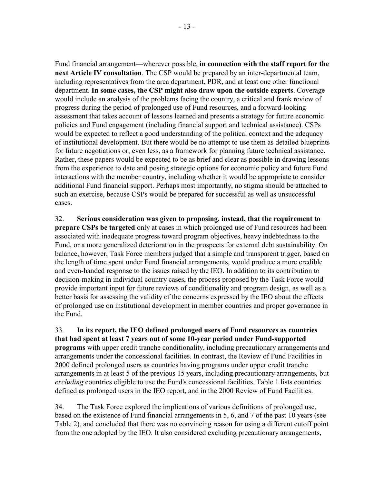Fund financial arrangement—wherever possible, **in connection with the staff report for the next Article IV consultation**. The CSP would be prepared by an inter-departmental team, including representatives from the area department, PDR, and at least one other functional department. **In some cases, the CSP might also draw upon the outside experts**. Coverage would include an analysis of the problems facing the country, a critical and frank review of progress during the period of prolonged use of Fund resources, and a forward-looking assessment that takes account of lessons learned and presents a strategy for future economic policies and Fund engagement (including financial support and technical assistance). CSPs would be expected to reflect a good understanding of the political context and the adequacy of institutional development. But there would be no attempt to use them as detailed blueprints for future negotiations or, even less, as a framework for planning future technical assistance. Rather, these papers would be expected to be as brief and clear as possible in drawing lessons from the experience to date and posing strategic options for economic policy and future Fund interactions with the member country, including whether it would be appropriate to consider additional Fund financial support. Perhaps most importantly, no stigma should be attached to such an exercise, because CSPs would be prepared for successful as well as unsuccessful cases.

32. **Serious consideration was given to proposing, instead, that the requirement to prepare CSPs be targeted** only at cases in which prolonged use of Fund resources had been associated with inadequate progress toward program objectives, heavy indebtedness to the Fund, or a more generalized deterioration in the prospects for external debt sustainability. On balance, however, Task Force members judged that a simple and transparent trigger, based on the length of time spent under Fund financial arrangements, would produce a more credible and even-handed response to the issues raised by the IEO. In addition to its contribution to decision-making in individual country cases, the process proposed by the Task Force would provide important input for future reviews of conditionality and program design, as well as a better basis for assessing the validity of the concerns expressed by the IEO about the effects of prolonged use on institutional development in member countries and proper governance in the Fund.

33. **In its report, the IEO defined prolonged users of Fund resources as countries that had spent at least 7 years out of some 10-year period under Fund-supported programs** with upper credit tranche conditionality, including precautionary arrangements and arrangements under the concessional facilities. In contrast, the Review of Fund Facilities in 2000 defined prolonged users as countries having programs under upper credit tranche arrangements in at least 5 of the previous 15 years, including precautionary arrangements, but *excluding* countries eligible to use the Fund's concessional facilities. Table 1 lists countries defined as prolonged users in the IEO report, and in the 2000 Review of Fund Facilities.

34. The Task Force explored the implications of various definitions of prolonged use, based on the existence of Fund financial arrangements in 5, 6, and 7 of the past 10 years (see Table 2), and concluded that there was no convincing reason for using a different cutoff point from the one adopted by the IEO. It also considered excluding precautionary arrangements,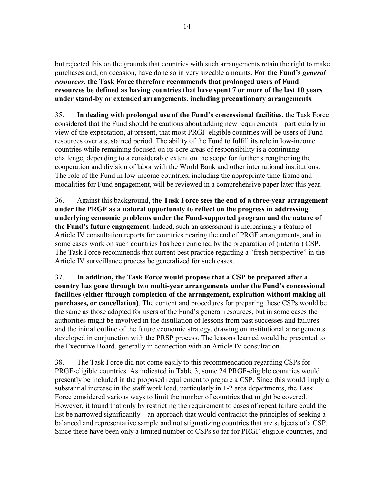but rejected this on the grounds that countries with such arrangements retain the right to make purchases and, on occasion, have done so in very sizeable amounts. **For the Fund's** *general resources***, the Task Force therefore recommends that prolonged users of Fund resources be defined as having countries that have spent 7 or more of the last 10 years under stand-by or extended arrangements, including precautionary arrangements**.

35. **In dealing with prolonged use of the Fund's concessional facilities**, the Task Force considered that the Fund should be cautious about adding new requirements—particularly in view of the expectation, at present, that most PRGF-eligible countries will be users of Fund resources over a sustained period. The ability of the Fund to fulfill its role in low-income countries while remaining focused on its core areas of responsibility is a continuing challenge, depending to a considerable extent on the scope for further strengthening the cooperation and division of labor with the World Bank and other international institutions. The role of the Fund in low-income countries, including the appropriate time-frame and modalities for Fund engagement, will be reviewed in a comprehensive paper later this year.

36. Against this background, **the Task Force sees the end of a three-year arrangement under the PRGF as a natural opportunity to reflect on the progress in addressing underlying economic problems under the Fund-supported program and the nature of the Fund's future engagement**. Indeed, such an assessment is increasingly a feature of Article IV consultation reports for countries nearing the end of PRGF arrangements, and in some cases work on such countries has been enriched by the preparation of (internal) CSP. The Task Force recommends that current best practice regarding a "fresh perspective" in the Article IV surveillance process be generalized for such cases.

37. **In addition, the Task Force would propose that a CSP be prepared after a country has gone through two multi-year arrangements under the Fund's concessional facilities (either through completion of the arrangement, expiration without making all purchases, or cancellation)**. The content and procedures for preparing these CSPs would be the same as those adopted for users of the Fund's general resources, but in some cases the authorities might be involved in the distillation of lessons from past successes and failures and the initial outline of the future economic strategy, drawing on institutional arrangements developed in conjunction with the PRSP process. The lessons learned would be presented to the Executive Board, generally in connection with an Article IV consultation.

38. The Task Force did not come easily to this recommendation regarding CSPs for PRGF-eligible countries. As indicated in Table 3, some 24 PRGF-eligible countries would presently be included in the proposed requirement to prepare a CSP. Since this would imply a substantial increase in the staff work load, particularly in 1-2 area departments, the Task Force considered various ways to limit the number of countries that might be covered. However, it found that only by restricting the requirement to cases of repeat failure could the list be narrowed significantly—an approach that would contradict the principles of seeking a balanced and representative sample and not stigmatizing countries that are subjects of a CSP. Since there have been only a limited number of CSPs so far for PRGF-eligible countries, and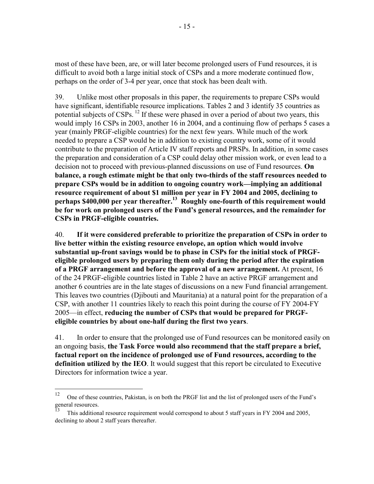most of these have been, are, or will later become prolonged users of Fund resources, it is difficult to avoid both a large initial stock of CSPs and a more moderate continued flow, perhaps on the order of 3-4 per year, once that stock has been dealt with.

39. Unlike most other proposals in this paper, the requirements to prepare CSPs would have significant, identifiable resource implications. Tables 2 and 3 identify 35 countries as potential subjects of CSPs.  $^{12}$  If these were phased in over a period of about two years, this would imply 16 CSPs in 2003, another 16 in 2004, and a continuing flow of perhaps 5 cases a year (mainly PRGF-eligible countries) for the next few years. While much of the work needed to prepare a CSP would be in addition to existing country work, some of it would contribute to the preparation of Article IV staff reports and PRSPs. In addition, in some cases the preparation and consideration of a CSP could delay other mission work, or even lead to a decision not to proceed with previous-planned discussions on use of Fund resources. **On balance, a rough estimate might be that only two-thirds of the staff resources needed to prepare CSPs would be in addition to ongoing country work—implying an additional resource requirement of about \$1 million per year in FY 2004 and 2005, declining to**  perhaps \$400,000 per year thereafter.<sup>13</sup> Roughly one-fourth of this requirement would **be for work on prolonged users of the Fund's general resources, and the remainder for CSPs in PRGF-eligible countries.**

40. **If it were considered preferable to prioritize the preparation of CSPs in order to live better within the existing resource envelope, an option which would involve substantial up-front savings would be to phase in CSPs for the initial stock of PRGFeligible prolonged users by preparing them only during the period after the expiration of a PRGF arrangement and before the approval of a new arrangement.** At present, 16 of the 24 PRGF-eligible countries listed in Table 2 have an active PRGF arrangement and another 6 countries are in the late stages of discussions on a new Fund financial arrangement. This leaves two countries (Djibouti and Mauritania) at a natural point for the preparation of a CSP, with another 11 countries likely to reach this point during the course of FY 2004-FY 2005—in effect, **reducing the number of CSPs that would be prepared for PRGFeligible countries by about one-half during the first two years**.

41. In order to ensure that the prolonged use of Fund resources can be monitored easily on an ongoing basis, **the Task Force would also recommend that the staff prepare a brief, factual report on the incidence of prolonged use of Fund resources, according to the definition utilized by the IEO**. It would suggest that this report be circulated to Executive Directors for information twice a year.

1

<sup>&</sup>lt;sup>12</sup> One of these countries, Pakistan, is on both the PRGF list and the list of prolonged users of the Fund's general resources.

This additional resource requirement would correspond to about 5 staff years in FY 2004 and 2005, declining to about 2 staff years thereafter.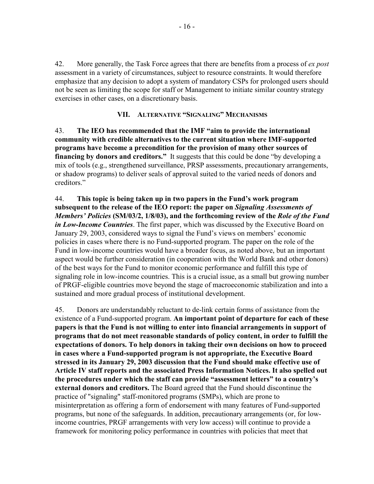42. More generally, the Task Force agrees that there are benefits from a process of *ex post* assessment in a variety of circumstances, subject to resource constraints. It would therefore emphasize that any decision to adopt a system of mandatory CSPs for prolonged users should not be seen as limiting the scope for staff or Management to initiate similar country strategy exercises in other cases, on a discretionary basis.

### **VII. ALTERNATIVE "SIGNALING" MECHANISMS**

43. **The IEO has recommended that the IMF "aim to provide the international community with credible alternatives to the current situation where IMF-supported programs have become a precondition for the provision of many other sources of financing by donors and creditors."** It suggests that this could be done "by developing a mix of tools (e.g., strengthened surveillance, PRSP assessments, precautionary arrangements, or shadow programs) to deliver seals of approval suited to the varied needs of donors and creditors."

44. **This topic is being taken up in two papers in the Fund's work program subsequent to the release of the IEO report: the paper on** *Signaling Assessments of Members' Policies* **(SM/03/2, 1/8/03), and the forthcoming review of the** *Role of the Fund in Low-Income Countries*. The first paper, which was discussed by the Executive Board on January 29, 2003, considered ways to signal the Fund's views on members' economic policies in cases where there is no Fund-supported program. The paper on the role of the Fund in low-income countries would have a broader focus, as noted above, but an important aspect would be further consideration (in cooperation with the World Bank and other donors) of the best ways for the Fund to monitor economic performance and fulfill this type of signaling role in low-income countries. This is a crucial issue, as a small but growing number of PRGF-eligible countries move beyond the stage of macroeconomic stabilization and into a sustained and more gradual process of institutional development.

45. Donors are understandably reluctant to de-link certain forms of assistance from the existence of a Fund-supported program. **An important point of departure for each of these papers is that the Fund is not willing to enter into financial arrangements in support of programs that do not meet reasonable standards of policy content, in order to fulfill the expectations of donors. To help donors in taking their own decisions on how to proceed in cases where a Fund-supported program is not appropriate, the Executive Board stressed in its January 29, 2003 discussion that the Fund should make effective use of Article IV staff reports and the associated Press Information Notices. It also spelled out the procedures under which the staff can provide "assessment letters" to a country's external donors and creditors.** The Board agreed that the Fund should discontinue the practice of "signaling" staff-monitored programs (SMPs), which are prone to misinterpretation as offering a form of endorsement with many features of Fund-supported programs, but none of the safeguards. In addition, precautionary arrangements (or, for lowincome countries, PRGF arrangements with very low access) will continue to provide a framework for monitoring policy performance in countries with policies that meet that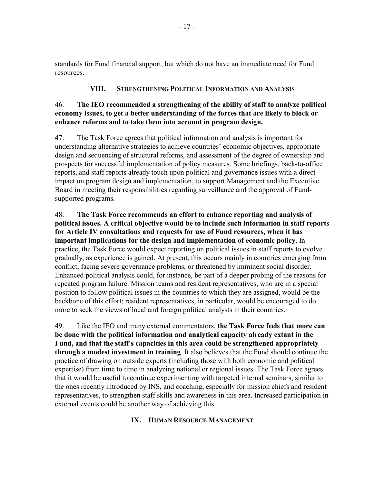standards for Fund financial support, but which do not have an immediate need for Fund resources.

## **VIII. STRENGTHENING POLITICAL INFORMATION AND ANALYSIS**

## 46. **The IEO recommended a strengthening of the ability of staff to analyze political economy issues, to get a better understanding of the forces that are likely to block or enhance reforms and to take them into account in program design.**

47. The Task Force agrees that political information and analysis is important for understanding alternative strategies to achieve countries' economic objectives, appropriate design and sequencing of structural reforms, and assessment of the degree of ownership and prospects for successful implementation of policy measures. Some briefings, back-to-office reports, and staff reports already touch upon political and governance issues with a direct impact on program design and implementation, to support Management and the Executive Board in meeting their responsibilities regarding surveillance and the approval of Fundsupported programs.

48. **The Task Force recommends an effort to enhance reporting and analysis of political issues. A critical objective would be to include such information in staff reports for Article IV consultations and requests for use of Fund resources, when it has important implications for the design and implementation of economic policy**. In practice, the Task Force would expect reporting on political issues in staff reports to evolve gradually, as experience is gained. At present, this occurs mainly in countries emerging from conflict, facing severe governance problems, or threatened by imminent social disorder. Enhanced political analysis could, for instance, be part of a deeper probing of the reasons for repeated program failure. Mission teams and resident representatives, who are in a special position to follow political issues in the countries to which they are assigned, would be the backbone of this effort; resident representatives, in particular, would be encouraged to do more to seek the views of local and foreign political analysts in their countries.

49. Like the IEO and many external commentators, **the Task Force feels that more can be done with the political information and analytical capacity already extant in the Fund, and that the staff's capacities in this area could be strengthened appropriately through a modest investment in training**. It also believes that the Fund should continue the practice of drawing on outside experts (including those with both economic and political expertise) from time to time in analyzing national or regional issues. The Task Force agrees that it would be useful to continue experimenting with targeted internal seminars, similar to the ones recently introduced by INS, and coaching, especially for mission chiefs and resident representatives, to strengthen staff skills and awareness in this area. Increased participation in external events could be another way of achieving this.

## **IX. HUMAN RESOURCE MANAGEMENT**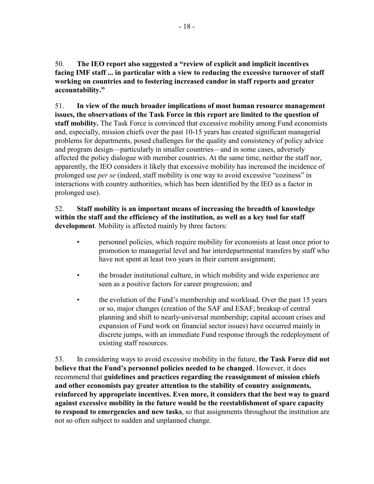50. **The IEO report also suggested a "review of explicit and implicit incentives facing IMF staff ... in particular with a view to reducing the excessive turnover of staff working on countries and to fostering increased candor in staff reports and greater accountability."**

51. **In view of the much broader implications of most human resource management issues, the observations of the Task Force in this report are limited to the question of staff mobility.** The Task Force is convinced that excessive mobility among Fund economists and, especially, mission chiefs over the past 10-15 years has created significant managerial problems for departments, posed challenges for the quality and consistency of policy advice and program design—particularly in smaller countries—and in some cases, adversely affected the policy dialogue with member countries. At the same time, neither the staff nor, apparently, the IEO considers it likely that excessive mobility has increased the incidence of prolonged use *per se* (indeed, staff mobility is one way to avoid excessive "coziness" in interactions with country authorities, which has been identified by the IEO as a factor in prolonged use).

## 52. **Staff mobility is an important means of increasing the breadth of knowledge within the staff and the efficiency of the institution, as well as a key tool for staff development**. Mobility is affected mainly by three factors:

- personnel policies, which require mobility for economists at least once prior to promotion to managerial level and bar interdepartmental transfers by staff who have not spent at least two years in their current assignment;
- the broader institutional culture, in which mobility and wide experience are seen as a positive factors for career progression; and
- the evolution of the Fund's membership and workload. Over the past 15 years or so, major changes (creation of the SAF and ESAF; breakup of central planning and shift to nearly-universal membership; capital account crises and expansion of Fund work on financial sector issues) have occurred mainly in discrete jumps, with an immediate Fund response through the redeployment of existing staff resources.

53. In considering ways to avoid excessive mobility in the future, **the Task Force did not believe that the Fund's personnel policies needed to be changed**. However, it does recommend that **guidelines and practices regarding the reassignment of mission chiefs and other economists pay greater attention to the stability of country assignments, reinforced by appropriate incentives. Even more, it considers that the best way to guard against excessive mobility in the future would be the reestablishment of spare capacity to respond to emergencies and new tasks**, so that assignments throughout the institution are not so often subject to sudden and unplanned change.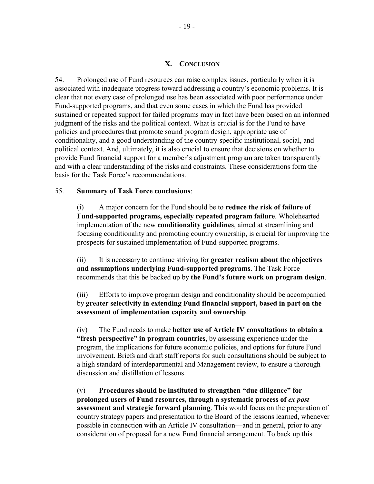#### **X. CONCLUSION**

54. Prolonged use of Fund resources can raise complex issues, particularly when it is associated with inadequate progress toward addressing a country's economic problems. It is clear that not every case of prolonged use has been associated with poor performance under Fund-supported programs, and that even some cases in which the Fund has provided sustained or repeated support for failed programs may in fact have been based on an informed judgment of the risks and the political context. What is crucial is for the Fund to have policies and procedures that promote sound program design, appropriate use of conditionality, and a good understanding of the country-specific institutional, social, and political context. And, ultimately, it is also crucial to ensure that decisions on whether to provide Fund financial support for a member's adjustment program are taken transparently and with a clear understanding of the risks and constraints. These considerations form the basis for the Task Force's recommendations.

#### 55. **Summary of Task Force conclusions**:

(i) A major concern for the Fund should be to **reduce the risk of failure of Fund-supported programs, especially repeated program failure**. Wholehearted implementation of the new **conditionality guidelines**, aimed at streamlining and focusing conditionality and promoting country ownership, is crucial for improving the prospects for sustained implementation of Fund-supported programs.

(ii) It is necessary to continue striving for **greater realism about the objectives and assumptions underlying Fund-supported programs**. The Task Force recommends that this be backed up by **the Fund's future work on program design**.

(iii) Efforts to improve program design and conditionality should be accompanied by **greater selectivity in extending Fund financial support, based in part on the assessment of implementation capacity and ownership**.

(iv) The Fund needs to make **better use of Article IV consultations to obtain a "fresh perspective" in program countries**, by assessing experience under the program, the implications for future economic policies, and options for future Fund involvement. Briefs and draft staff reports for such consultations should be subject to a high standard of interdepartmental and Management review, to ensure a thorough discussion and distillation of lessons.

(v) **Procedures should be instituted to strengthen "due diligence" for prolonged users of Fund resources, through a systematic process of** *ex post* **assessment and strategic forward planning**. This would focus on the preparation of country strategy papers and presentation to the Board of the lessons learned, whenever possible in connection with an Article IV consultation—and in general, prior to any consideration of proposal for a new Fund financial arrangement. To back up this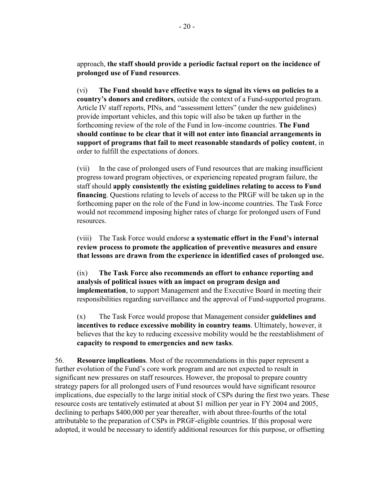approach, **the staff should provide a periodic factual report on the incidence of prolonged use of Fund resources**.

(vi) **The Fund should have effective ways to signal its views on policies to a country's donors and creditors**, outside the context of a Fund-supported program. Article IV staff reports, PINs, and "assessment letters" (under the new guidelines) provide important vehicles, and this topic will also be taken up further in the forthcoming review of the role of the Fund in low-income countries. **The Fund should continue to be clear that it will not enter into financial arrangements in support of programs that fail to meet reasonable standards of policy content**, in order to fulfill the expectations of donors.

(vii) In the case of prolonged users of Fund resources that are making insufficient progress toward program objectives, or experiencing repeated program failure, the staff should **apply consistently the existing guidelines relating to access to Fund financing**. Questions relating to levels of access to the PRGF will be taken up in the forthcoming paper on the role of the Fund in low-income countries. The Task Force would not recommend imposing higher rates of charge for prolonged users of Fund resources.

(viii) The Task Force would endorse **a systematic effort in the Fund's internal review process to promote the application of preventive measures and ensure that lessons are drawn from the experience in identified cases of prolonged use.**

(ix) **The Task Force also recommends an effort to enhance reporting and analysis of political issues with an impact on program design and implementation**, to support Management and the Executive Board in meeting their responsibilities regarding surveillance and the approval of Fund-supported programs.

(x) The Task Force would propose that Management consider **guidelines and incentives to reduce excessive mobility in country teams**. Ultimately, however, it believes that the key to reducing excessive mobility would be the reestablishment of **capacity to respond to emergencies and new tasks**.

56. **Resource implications**. Most of the recommendations in this paper represent a further evolution of the Fund's core work program and are not expected to result in significant new pressures on staff resources. However, the proposal to prepare country strategy papers for all prolonged users of Fund resources would have significant resource implications, due especially to the large initial stock of CSPs during the first two years. These resource costs are tentatively estimated at about \$1 million per year in FY 2004 and 2005, declining to perhaps \$400,000 per year thereafter, with about three-fourths of the total attributable to the preparation of CSPs in PRGF-eligible countries. If this proposal were adopted, it would be necessary to identify additional resources for this purpose, or offsetting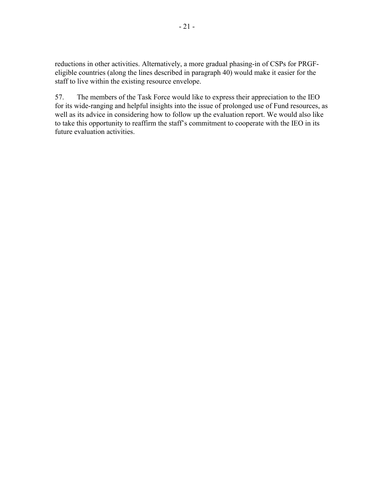reductions in other activities. Alternatively, a more gradual phasing-in of CSPs for PRGFeligible countries (along the lines described in paragraph 40) would make it easier for the staff to live within the existing resource envelope.

57. The members of the Task Force would like to express their appreciation to the IEO for its wide-ranging and helpful insights into the issue of prolonged use of Fund resources, as well as its advice in considering how to follow up the evaluation report. We would also like to take this opportunity to reaffirm the staff's commitment to cooperate with the IEO in its future evaluation activities.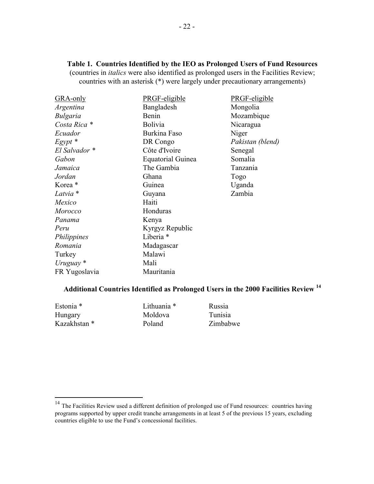## **Table 1. Countries Identified by the IEO as Prolonged Users of Fund Resources**

(countries in *italics* were also identified as prolonged users in the Facilities Review; countries with an asterisk (\*) were largely under precautionary arrangements)

| GRA-only            | PRGF-eligible            | PRGF-eligible    |
|---------------------|--------------------------|------------------|
| Argentina           | Bangladesh               | Mongolia         |
| <b>Bulgaria</b>     | Benin                    | Mozambique       |
| Costa Rica *        | Bolivia                  | Nicaragua        |
| Ecuador             | Burkina Faso             | Niger            |
| $E$ gypt $*$        | DR Congo                 | Pakistan (blend) |
| El Salvador *       | Côte d'Ivoire            | Senegal          |
| Gabon               | <b>Equatorial Guinea</b> | Somalia          |
| Jamaica             | The Gambia               | Tanzania         |
| Jordan              | Ghana                    | Togo             |
| Korea <sup>*</sup>  | Guinea                   | Uganda           |
| Latvia <sup>*</sup> | Guyana                   | Zambia           |
| Mexico              | Haiti                    |                  |
| Morocco             | Honduras                 |                  |
| Panama              | Kenya                    |                  |
| Peru                | Kyrgyz Republic          |                  |
| Philippines         | Liberia <sup>*</sup>     |                  |
| Romania             | Madagascar               |                  |
| Turkey              | Malawi                   |                  |
| Uruguay $*$         | Mali                     |                  |
| FR Yugoslavia       | Mauritania               |                  |

# **Additional Countries Identified as Prolonged Users in the 2000 Facilities Review <sup>14</sup>**

| Estonia *    | Lithuania * | Russia   |
|--------------|-------------|----------|
| Hungary      | Moldova     | Tunisia  |
| Kazakhstan * | Poland      | Zimbabwe |

 $\overline{a}$ 

 $14$  The Facilities Review used a different definition of prolonged use of Fund resources: countries having programs supported by upper credit tranche arrangements in at least 5 of the previous 15 years, excluding countries eligible to use the Fund's concessional facilities.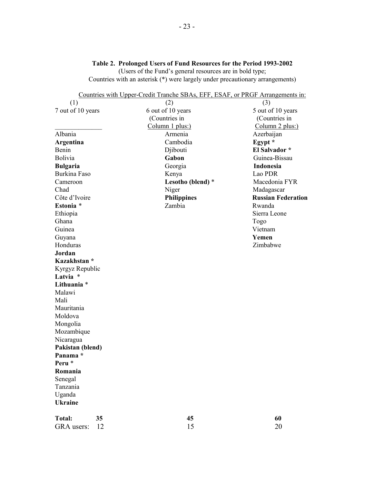#### **Table 2. Prolonged Users of Fund Resources for the Period 1993-2002**

(Users of the Fund's general resources are in bold type; Countries with an asterisk (\*) were largely under precautionary arrangements)

|                     | Countries with Upper-Credit Tranche SBAs, EFF, ESAF, or PRGF Arrangements in: |                           |
|---------------------|-------------------------------------------------------------------------------|---------------------------|
| (1)                 | (2)                                                                           | (3)                       |
| 7 out of 10 years   | 6 out of 10 years                                                             | 5 out of 10 years         |
|                     | (Countries in                                                                 | (Countries in             |
|                     | Column 1 plus:)                                                               | Column 2 plus:)           |
| Albania             | Armenia                                                                       | Azerbaijan                |
| Argentina           | Cambodia                                                                      | Egypt *                   |
| Benin               | Djibouti                                                                      | El Salvador *             |
| Bolivia             | Gabon                                                                         | Guinea-Bissau             |
| <b>Bulgaria</b>     | Georgia                                                                       | Indonesia                 |
| <b>Burkina Faso</b> | Kenya                                                                         | Lao PDR                   |
| Cameroon            | Lesotho (blend) *                                                             | Macedonia FYR             |
| Chad                | Niger                                                                         | Madagascar                |
| Côte d'Ivoire       | <b>Philippines</b>                                                            | <b>Russian Federation</b> |
| Estonia *           | Zambia                                                                        | Rwanda                    |
| Ethiopia            |                                                                               | Sierra Leone              |
| Ghana               |                                                                               | Togo                      |
| Guinea              |                                                                               | Vietnam                   |
| Guyana              |                                                                               | Yemen                     |
| Honduras            |                                                                               | Zimbabwe                  |
| Jordan              |                                                                               |                           |
| Kazakhstan *        |                                                                               |                           |
| Kyrgyz Republic     |                                                                               |                           |
| Latvia *            |                                                                               |                           |
| Lithuania *         |                                                                               |                           |
| Malawi              |                                                                               |                           |
| Mali                |                                                                               |                           |
| Mauritania          |                                                                               |                           |
| Moldova             |                                                                               |                           |
| Mongolia            |                                                                               |                           |
| Mozambique          |                                                                               |                           |
| Nicaragua           |                                                                               |                           |
| Pakistan (blend)    |                                                                               |                           |
| Panama *            |                                                                               |                           |
| Peru *              |                                                                               |                           |
| Romania             |                                                                               |                           |
| Senegal             |                                                                               |                           |
| Tanzania            |                                                                               |                           |
| Uganda              |                                                                               |                           |
| <b>Ukraine</b>      |                                                                               |                           |
|                     |                                                                               |                           |
| <b>Total:</b><br>35 | 45                                                                            | 60                        |
| GRA users:<br>12    | 15                                                                            | 20                        |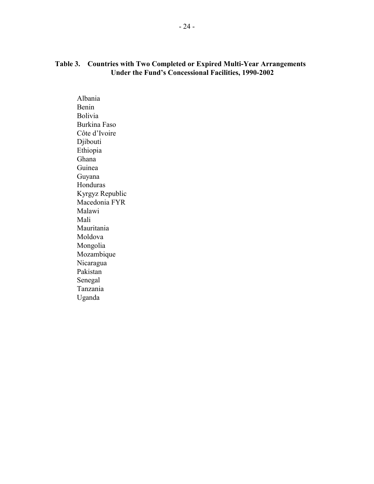### **Table 3. Countries with Two Completed or Expired Multi-Year Arrangements Under the Fund's Concessional Facilities, 1990-2002**

 Albania Benin Bolivia Burkina Faso Côte d'Ivoire Djibouti Ethiopia Ghana Guinea Guyana Honduras Kyrgyz Republic Macedonia FYR Malawi Mali Mauritania Moldova Mongolia Mozambique Nicaragua Pakistan Senegal Tanzania Uganda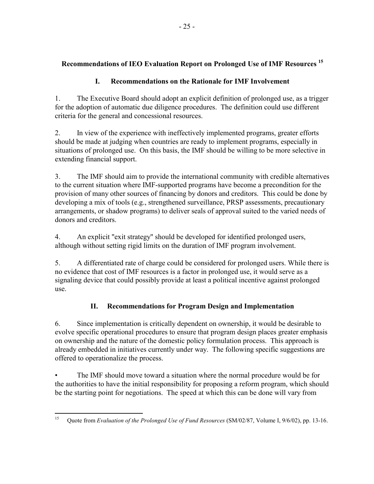## **Recommendations of IEO Evaluation Report on Prolonged Use of IMF Resources 15**

## **I. Recommendations on the Rationale for IMF Involvement**

1. The Executive Board should adopt an explicit definition of prolonged use, as a trigger for the adoption of automatic due diligence procedures. The definition could use different criteria for the general and concessional resources.

2. In view of the experience with ineffectively implemented programs, greater efforts should be made at judging when countries are ready to implement programs, especially in situations of prolonged use. On this basis, the IMF should be willing to be more selective in extending financial support.

3. The IMF should aim to provide the international community with credible alternatives to the current situation where IMF-supported programs have become a precondition for the provision of many other sources of financing by donors and creditors. This could be done by developing a mix of tools (e.g., strengthened surveillance, PRSP assessments, precautionary arrangements, or shadow programs) to deliver seals of approval suited to the varied needs of donors and creditors.

4. An explicit "exit strategy" should be developed for identified prolonged users, although without setting rigid limits on the duration of IMF program involvement.

5. A differentiated rate of charge could be considered for prolonged users. While there is no evidence that cost of IMF resources is a factor in prolonged use, it would serve as a signaling device that could possibly provide at least a political incentive against prolonged use.

# **II. Recommendations for Program Design and Implementation**

6. Since implementation is critically dependent on ownership, it would be desirable to evolve specific operational procedures to ensure that program design places greater emphasis on ownership and the nature of the domestic policy formulation process. This approach is already embedded in initiatives currently under way. The following specific suggestions are offered to operationalize the process.

• The IMF should move toward a situation where the normal procedure would be for the authorities to have the initial responsibility for proposing a reform program, which should be the starting point for negotiations. The speed at which this can be done will vary from

<sup>15</sup> 15 Quote from *Evaluation of the Prolonged Use of Fund Resources* (SM/02/87, Volume I, 9/6/02), pp. 13-16.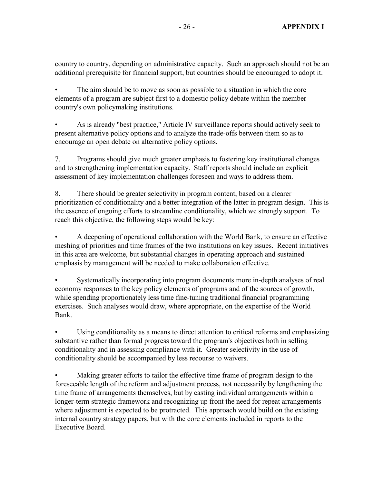country to country, depending on administrative capacity. Such an approach should not be an additional prerequisite for financial support, but countries should be encouraged to adopt it.

• The aim should be to move as soon as possible to a situation in which the core elements of a program are subject first to a domestic policy debate within the member country's own policymaking institutions.

• As is already "best practice," Article IV surveillance reports should actively seek to present alternative policy options and to analyze the trade-offs between them so as to encourage an open debate on alternative policy options.

7. Programs should give much greater emphasis to fostering key institutional changes and to strengthening implementation capacity. Staff reports should include an explicit assessment of key implementation challenges foreseen and ways to address them.

8. There should be greater selectivity in program content, based on a clearer prioritization of conditionality and a better integration of the latter in program design. This is the essence of ongoing efforts to streamline conditionality, which we strongly support. To reach this objective, the following steps would be key:

• A deepening of operational collaboration with the World Bank, to ensure an effective meshing of priorities and time frames of the two institutions on key issues. Recent initiatives in this area are welcome, but substantial changes in operating approach and sustained emphasis by management will be needed to make collaboration effective.

• Systematically incorporating into program documents more in-depth analyses of real economy responses to the key policy elements of programs and of the sources of growth, while spending proportionately less time fine-tuning traditional financial programming exercises. Such analyses would draw, where appropriate, on the expertise of the World Bank.

Using conditionality as a means to direct attention to critical reforms and emphasizing substantive rather than formal progress toward the program's objectives both in selling conditionality and in assessing compliance with it. Greater selectivity in the use of conditionality should be accompanied by less recourse to waivers.

Making greater efforts to tailor the effective time frame of program design to the foreseeable length of the reform and adjustment process, not necessarily by lengthening the time frame of arrangements themselves, but by casting individual arrangements within a longer-term strategic framework and recognizing up front the need for repeat arrangements where adjustment is expected to be protracted. This approach would build on the existing internal country strategy papers, but with the core elements included in reports to the Executive Board.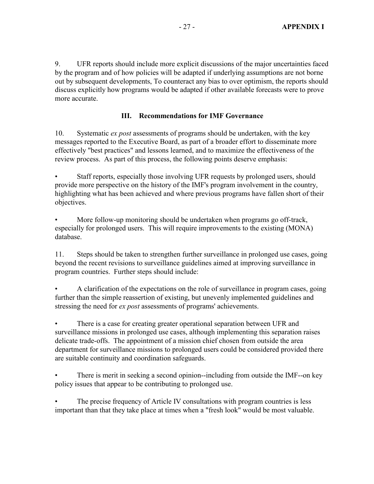9. UFR reports should include more explicit discussions of the major uncertainties faced by the program and of how policies will be adapted if underlying assumptions are not borne out by subsequent developments, To counteract any bias to over optimism, the reports should discuss explicitly how programs would be adapted if other available forecasts were to prove more accurate.

## **III. Recommendations for IMF Governance**

10. Systematic *ex post* assessments of programs should be undertaken, with the key messages reported to the Executive Board, as part of a broader effort to disseminate more effectively "best practices" and lessons learned, and to maximize the effectiveness of the review process. As part of this process, the following points deserve emphasis:

• Staff reports, especially those involving UFR requests by prolonged users, should provide more perspective on the history of the IMF's program involvement in the country, highlighting what has been achieved and where previous programs have fallen short of their objectives.

• More follow-up monitoring should be undertaken when programs go off-track, especially for prolonged users. This will require improvements to the existing (MONA) database.

11. Steps should be taken to strengthen further surveillance in prolonged use cases, going beyond the recent revisions to surveillance guidelines aimed at improving surveillance in program countries. Further steps should include:

• A clarification of the expectations on the role of surveillance in program cases, going further than the simple reassertion of existing, but unevenly implemented guidelines and stressing the need for *ex post* assessments of programs' achievements.

There is a case for creating greater operational separation between UFR and surveillance missions in prolonged use cases, although implementing this separation raises delicate trade-offs. The appointment of a mission chief chosen from outside the area department for surveillance missions to prolonged users could be considered provided there are suitable continuity and coordination safeguards.

• There is merit in seeking a second opinion--including from outside the IMF--on key policy issues that appear to be contributing to prolonged use.

• The precise frequency of Article IV consultations with program countries is less important than that they take place at times when a "fresh look" would be most valuable.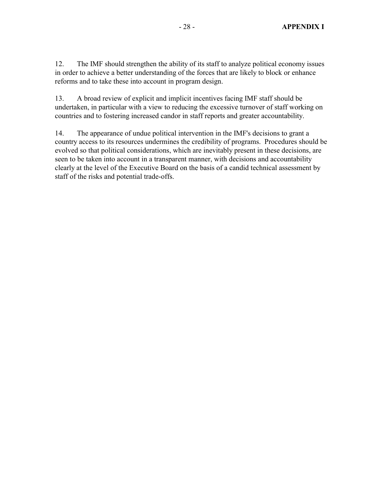12. The IMF should strengthen the ability of its staff to analyze political economy issues in order to achieve a better understanding of the forces that are likely to block or enhance reforms and to take these into account in program design.

13. A broad review of explicit and implicit incentives facing IMF staff should be undertaken, in particular with a view to reducing the excessive turnover of staff working on countries and to fostering increased candor in staff reports and greater accountability.

14. The appearance of undue political intervention in the IMF's decisions to grant a country access to its resources undermines the credibility of programs. Procedures should be evolved so that political considerations, which are inevitably present in these decisions, are seen to be taken into account in a transparent manner, with decisions and accountability clearly at the level of the Executive Board on the basis of a candid technical assessment by staff of the risks and potential trade-offs.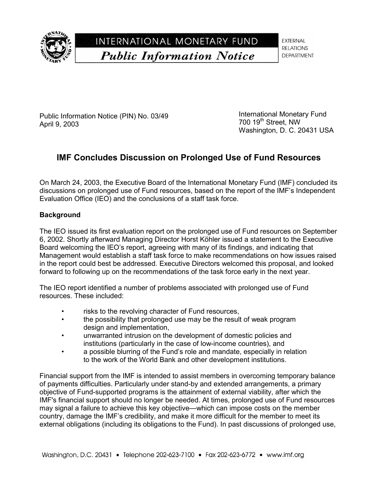

INTERNATIONAL MONETARY FUND **Public Information Notice** 

**EXTERNAL RELATIONS DEPARTMENT** 

Public Information Notice (PIN) No. 03/49 April 9, 2003

International Monetary Fund 700 19<sup>th</sup> Street, NW Washington, D. C. 20431 USA

# **IMF Concludes Discussion on Prolonged Use of Fund Resources**

On March 24, 2003, the Executive Board of the International Monetary Fund (IMF) concluded its discussions on prolonged use of Fund resources, based on the report of the IMF's Independent Evaluation Office (IEO) and the conclusions of a staff task force.

## **Background**

The IEO issued its first evaluation report on the prolonged use of Fund resources on September 6, 2002. Shortly afterward Managing Director Horst Köhler issued a statement to the Executive Board welcoming the IEO's report, agreeing with many of its findings, and indicating that Management would establish a staff task force to make recommendations on how issues raised in the report could best be addressed. Executive Directors welcomed this proposal, and looked forward to following up on the recommendations of the task force early in the next year.

The IEO report identified a number of problems associated with prolonged use of Fund resources. These included:

- risks to the revolving character of Fund resources,
- the possibility that prolonged use may be the result of weak program design and implementation,
- unwarranted intrusion on the development of domestic policies and institutions (particularly in the case of low-income countries), and
- a possible blurring of the Fund's role and mandate, especially in relation to the work of the World Bank and other development institutions.

Financial support from the IMF is intended to assist members in overcoming temporary balance of payments difficulties. Particularly under stand-by and extended arrangements, a primary objective of Fund-supported programs is the attainment of external viability, after which the IMF's financial support should no longer be needed. At times, prolonged use of Fund resources may signal a failure to achieve this key objective—which can impose costs on the member country, damage the IMF's credibility, and make it more difficult for the member to meet its external obligations (including its obligations to the Fund). In past discussions of prolonged use,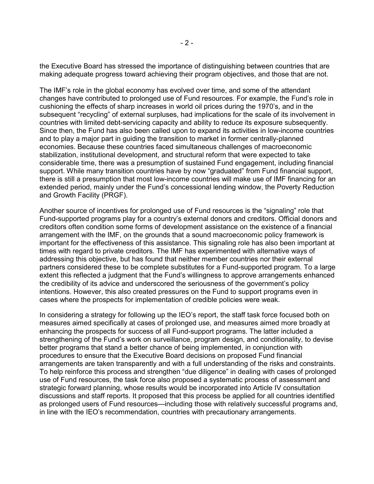the Executive Board has stressed the importance of distinguishing between countries that are making adequate progress toward achieving their program objectives, and those that are not.

The IMF's role in the global economy has evolved over time, and some of the attendant changes have contributed to prolonged use of Fund resources. For example, the Fund's role in cushioning the effects of sharp increases in world oil prices during the 1970's, and in the subsequent "recycling" of external surpluses, had implications for the scale of its involvement in countries with limited debt-servicing capacity and ability to reduce its exposure subsequently. Since then, the Fund has also been called upon to expand its activities in low-income countries and to play a major part in guiding the transition to market in former centrally-planned economies. Because these countries faced simultaneous challenges of macroeconomic stabilization, institutional development, and structural reform that were expected to take considerable time, there was a presumption of sustained Fund engagement, including financial support. While many transition countries have by now "graduated" from Fund financial support, there is still a presumption that most low-income countries will make use of IMF financing for an extended period, mainly under the Fund's concessional lending window, the Poverty Reduction and Growth Facility (PRGF).

Another source of incentives for prolonged use of Fund resources is the "signaling" role that Fund-supported programs play for a country's external donors and creditors. Official donors and creditors often condition some forms of development assistance on the existence of a financial arrangement with the IMF, on the grounds that a sound macroeconomic policy framework is important for the effectiveness of this assistance. This signaling role has also been important at times with regard to private creditors. The IMF has experimented with alternative ways of addressing this objective, but has found that neither member countries nor their external partners considered these to be complete substitutes for a Fund-supported program. To a large extent this reflected a judgment that the Fund's willingness to approve arrangements enhanced the credibility of its advice and underscored the seriousness of the government's policy intentions. However, this also created pressures on the Fund to support programs even in cases where the prospects for implementation of credible policies were weak.

In considering a strategy for following up the IEO's report, the staff task force focused both on measures aimed specifically at cases of prolonged use, and measures aimed more broadly at enhancing the prospects for success of all Fund-support programs. The latter included a strengthening of the Fund's work on surveillance, program design, and conditionality, to devise better programs that stand a better chance of being implemented, in conjunction with procedures to ensure that the Executive Board decisions on proposed Fund financial arrangements are taken transparently and with a full understanding of the risks and constraints. To help reinforce this process and strengthen "due diligence" in dealing with cases of prolonged use of Fund resources, the task force also proposed a systematic process of assessment and strategic forward planning, whose results would be incorporated into Article IV consultation discussions and staff reports. It proposed that this process be applied for all countries identified as prolonged users of Fund resources—including those with relatively successful programs and, in line with the IEO's recommendation, countries with precautionary arrangements.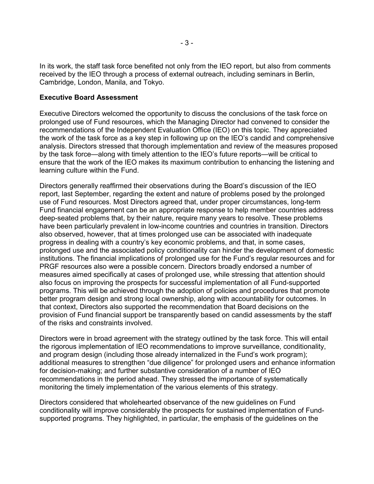In its work, the staff task force benefited not only from the IEO report, but also from comments received by the IEO through a process of external outreach, including seminars in Berlin, Cambridge, London, Manila, and Tokyo.

#### **Executive Board Assessment**

Executive Directors welcomed the opportunity to discuss the conclusions of the task force on prolonged use of Fund resources, which the Managing Director had convened to consider the recommendations of the Independent Evaluation Office (IEO) on this topic. They appreciated the work of the task force as a key step in following up on the IEO's candid and comprehensive analysis. Directors stressed that thorough implementation and review of the measures proposed by the task force—along with timely attention to the IEO's future reports—will be critical to ensure that the work of the IEO makes its maximum contribution to enhancing the listening and learning culture within the Fund.

Directors generally reaffirmed their observations during the Board's discussion of the IEO report, last September, regarding the extent and nature of problems posed by the prolonged use of Fund resources. Most Directors agreed that, under proper circumstances, long-term Fund financial engagement can be an appropriate response to help member countries address deep-seated problems that, by their nature, require many years to resolve. These problems have been particularly prevalent in low-income countries and countries in transition. Directors also observed, however, that at times prolonged use can be associated with inadequate progress in dealing with a country's key economic problems, and that, in some cases, prolonged use and the associated policy conditionality can hinder the development of domestic institutions. The financial implications of prolonged use for the Fund's regular resources and for PRGF resources also were a possible concern. Directors broadly endorsed a number of measures aimed specifically at cases of prolonged use, while stressing that attention should also focus on improving the prospects for successful implementation of all Fund-supported programs. This will be achieved through the adoption of policies and procedures that promote better program design and strong local ownership, along with accountability for outcomes. In that context, Directors also supported the recommendation that Board decisions on the provision of Fund financial support be transparently based on candid assessments by the staff of the risks and constraints involved.

Directors were in broad agreement with the strategy outlined by the task force. This will entail the rigorous implementation of IEO recommendations to improve surveillance, conditionality, and program design (including those already internalized in the Fund's work program); additional measures to strengthen "due diligence" for prolonged users and enhance information for decision-making; and further substantive consideration of a number of IEO recommendations in the period ahead. They stressed the importance of systematically monitoring the timely implementation of the various elements of this strategy.

Directors considered that wholehearted observance of the new guidelines on Fund conditionality will improve considerably the prospects for sustained implementation of Fundsupported programs. They highlighted, in particular, the emphasis of the guidelines on the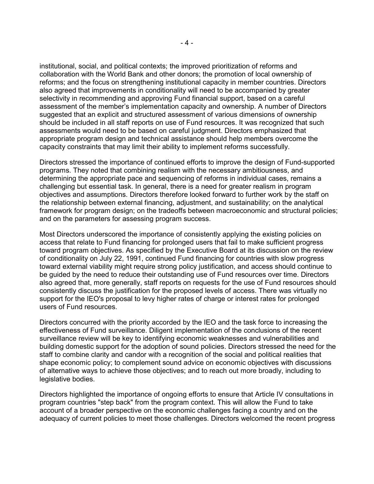institutional, social, and political contexts; the improved prioritization of reforms and collaboration with the World Bank and other donors; the promotion of local ownership of reforms; and the focus on strengthening institutional capacity in member countries. Directors also agreed that improvements in conditionality will need to be accompanied by greater selectivity in recommending and approving Fund financial support, based on a careful assessment of the member's implementation capacity and ownership. A number of Directors suggested that an explicit and structured assessment of various dimensions of ownership should be included in all staff reports on use of Fund resources. It was recognized that such assessments would need to be based on careful judgment. Directors emphasized that appropriate program design and technical assistance should help members overcome the capacity constraints that may limit their ability to implement reforms successfully.

Directors stressed the importance of continued efforts to improve the design of Fund-supported programs. They noted that combining realism with the necessary ambitiousness, and determining the appropriate pace and sequencing of reforms in individual cases, remains a challenging but essential task. In general, there is a need for greater realism in program objectives and assumptions. Directors therefore looked forward to further work by the staff on the relationship between external financing, adjustment, and sustainability; on the analytical framework for program design; on the tradeoffs between macroeconomic and structural policies; and on the parameters for assessing program success.

Most Directors underscored the importance of consistently applying the existing policies on access that relate to Fund financing for prolonged users that fail to make sufficient progress toward program objectives. As specified by the Executive Board at its discussion on the review of conditionality on July 22, 1991, continued Fund financing for countries with slow progress toward external viability might require strong policy justification, and access should continue to be guided by the need to reduce their outstanding use of Fund resources over time. Directors also agreed that, more generally, staff reports on requests for the use of Fund resources should consistently discuss the justification for the proposed levels of access. There was virtually no support for the IEO's proposal to levy higher rates of charge or interest rates for prolonged users of Fund resources.

Directors concurred with the priority accorded by the IEO and the task force to increasing the effectiveness of Fund surveillance. Diligent implementation of the conclusions of the recent surveillance review will be key to identifying economic weaknesses and vulnerabilities and building domestic support for the adoption of sound policies. Directors stressed the need for the staff to combine clarity and candor with a recognition of the social and political realities that shape economic policy; to complement sound advice on economic objectives with discussions of alternative ways to achieve those objectives; and to reach out more broadly, including to legislative bodies.

Directors highlighted the importance of ongoing efforts to ensure that Article IV consultations in program countries "step back" from the program context. This will allow the Fund to take account of a broader perspective on the economic challenges facing a country and on the adequacy of current policies to meet those challenges. Directors welcomed the recent progress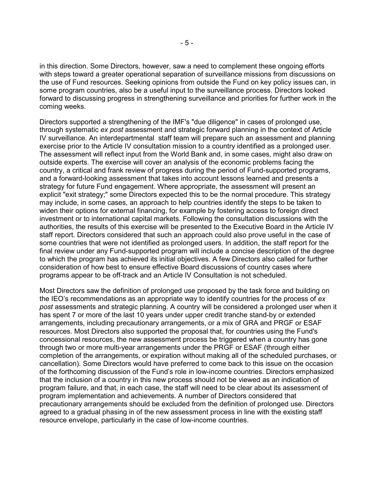in this direction. Some Directors, however, saw a need to complement these ongoing efforts with steps toward a greater operational separation of surveillance missions from discussions on the use of Fund resources. Seeking opinions from outside the Fund on key policy issues can, in some program countries, also be a useful input to the surveillance process. Directors looked forward to discussing progress in strengthening surveillance and priorities for further work in the coming weeks.

Directors supported a strengthening of the IMF's "due diligence" in cases of prolonged use, through systematic *ex post* assessment and strategic forward planning in the context of Article IV surveillance. An interdepartmental staff team will prepare such an assessment and planning exercise prior to the Article IV consultation mission to a country identified as a prolonged user. The assessment will reflect input from the World Bank and, in some cases, might also draw on outside experts. The exercise will cover an analysis of the economic problems facing the country, a critical and frank review of progress during the period of Fund-supported programs, and a forward-looking assessment that takes into account lessons learned and presents a strategy for future Fund engagement. Where appropriate, the assessment will present an explicit "exit strategy;" some Directors expected this to be the normal procedure. This strategy may include, in some cases, an approach to help countries identify the steps to be taken to widen their options for external financing, for example by fostering access to foreign direct investment or to international capital markets. Following the consultation discussions with the authorities, the results of this exercise will be presented to the Executive Board in the Article IV staff report. Directors considered that such an approach could also prove useful in the case of some countries that were not identified as prolonged users. In addition, the staff report for the final review under any Fund-supported program will include a concise description of the degree to which the program has achieved its initial objectives. A few Directors also called for further consideration of how best to ensure effective Board discussions of country cases where programs appear to be off-track and an Article IV Consultation is not scheduled.

Most Directors saw the definition of prolonged use proposed by the task force and building on the IEO's recommendations as an appropriate way to identify countries for the process of *ex post* assessments and strategic planning. A country will be considered a prolonged user when it has spent 7 or more of the last 10 years under upper credit tranche stand-by or extended arrangements, including precautionary arrangements, or a mix of GRA and PRGF or ESAF resources. Most Directors also supported the proposal that, for countries using the Fund's concessional resources, the new assessment process be triggered when a country has gone through two or more multi-year arrangements under the PRGF or ESAF (through either completion of the arrangements, or expiration without making all of the scheduled purchases, or cancellation). Some Directors would have preferred to come back to this issue on the occasion of the forthcoming discussion of the Fund's role in low-income countries. Directors emphasized that the inclusion of a country in this new process should not be viewed as an indication of program failure, and that, in each case, the staff will need to be clear about its assessment of program implementation and achievements. A number of Directors considered that precautionary arrangements should be excluded from the definition of prolonged use. Directors agreed to a gradual phasing in of the new assessment process in line with the existing staff resource envelope, particularly in the case of low-income countries.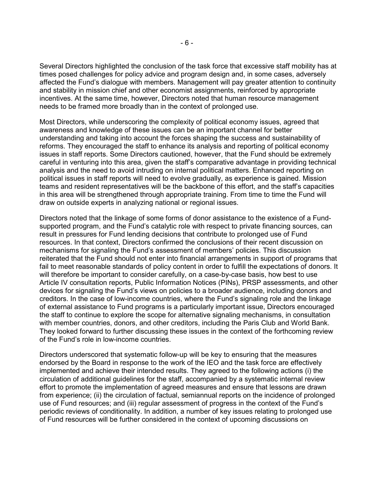Several Directors highlighted the conclusion of the task force that excessive staff mobility has at times posed challenges for policy advice and program design and, in some cases, adversely affected the Fund's dialogue with members. Management will pay greater attention to continuity and stability in mission chief and other economist assignments, reinforced by appropriate incentives. At the same time, however, Directors noted that human resource management needs to be framed more broadly than in the context of prolonged use.

Most Directors, while underscoring the complexity of political economy issues, agreed that awareness and knowledge of these issues can be an important channel for better understanding and taking into account the forces shaping the success and sustainability of reforms. They encouraged the staff to enhance its analysis and reporting of political economy issues in staff reports. Some Directors cautioned, however, that the Fund should be extremely careful in venturing into this area, given the staff's comparative advantage in providing technical analysis and the need to avoid intruding on internal political matters. Enhanced reporting on political issues in staff reports will need to evolve gradually, as experience is gained. Mission teams and resident representatives will be the backbone of this effort, and the staff's capacities in this area will be strengthened through appropriate training. From time to time the Fund will draw on outside experts in analyzing national or regional issues.

Directors noted that the linkage of some forms of donor assistance to the existence of a Fundsupported program, and the Fund's catalytic role with respect to private financing sources, can result in pressures for Fund lending decisions that contribute to prolonged use of Fund resources. In that context, Directors confirmed the conclusions of their recent discussion on mechanisms for signaling the Fund's assessment of members' policies. This discussion reiterated that the Fund should not enter into financial arrangements in support of programs that fail to meet reasonable standards of policy content in order to fulfill the expectations of donors. It will therefore be important to consider carefully, on a case-by-case basis, how best to use Article IV consultation reports, Public Information Notices (PINs), PRSP assessments, and other devices for signaling the Fund's views on policies to a broader audience, including donors and creditors. In the case of low-income countries, where the Fund's signaling role and the linkage of external assistance to Fund programs is a particularly important issue, Directors encouraged the staff to continue to explore the scope for alternative signaling mechanisms, in consultation with member countries, donors, and other creditors, including the Paris Club and World Bank. They looked forward to further discussing these issues in the context of the forthcoming review of the Fund's role in low-income countries.

Directors underscored that systematic follow-up will be key to ensuring that the measures endorsed by the Board in response to the work of the IEO and the task force are effectively implemented and achieve their intended results. They agreed to the following actions (i) the circulation of additional guidelines for the staff, accompanied by a systematic internal review effort to promote the implementation of agreed measures and ensure that lessons are drawn from experience; (ii) the circulation of factual, semiannual reports on the incidence of prolonged use of Fund resources; and (iii) regular assessment of progress in the context of the Fund's periodic reviews of conditionality. In addition, a number of key issues relating to prolonged use of Fund resources will be further considered in the context of upcoming discussions on